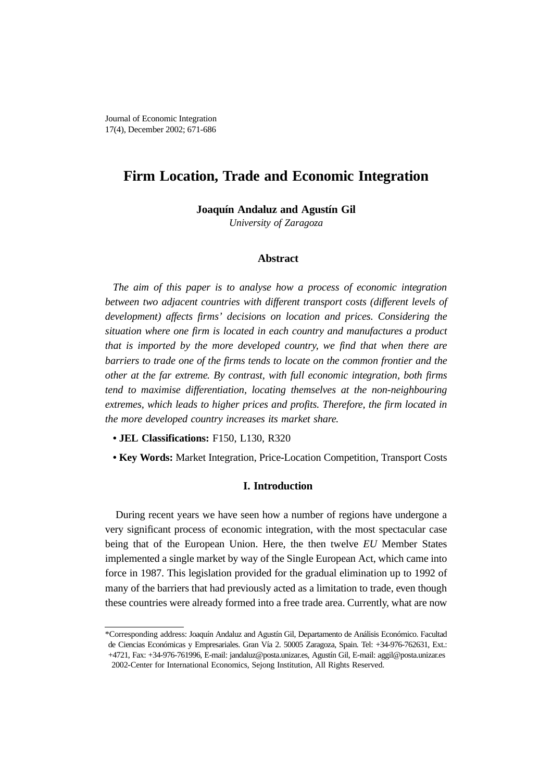# **Firm Location, Trade and Economic Integration**

**Joaquín Andaluz and Agustín Gil**

*University of Zaragoza*

## **Abstract**

*The aim of this paper is to analyse how a process of economic integration between two adjacent countries with different transport costs (different levels of development) affects firms' decisions on location and prices. Considering the situation where one firm is located in each country and manufactures a product that is imported by the more developed country, we find that when there are barriers to trade one of the firms tends to locate on the common frontier and the other at the far extreme. By contrast, with full economic integration, both firms tend to maximise differentiation, locating themselves at the non-neighbouring extremes, which leads to higher prices and profits. Therefore, the firm located in the more developed country increases its market share.*

- **JEL Classifications:** F150, L130, R320
- **Key Words:** Market Integration, Price-Location Competition, Transport Costs

## **I. Introduction**

During recent years we have seen how a number of regions have undergone a very significant process of economic integration, with the most spectacular case being that of the European Union. Here, the then twelve *EU* Member States implemented a single market by way of the Single European Act, which came into force in 1987. This legislation provided for the gradual elimination up to 1992 of many of the barriers that had previously acted as a limitation to trade, even though these countries were already formed into a free trade area. Currently, what are now

<sup>\*</sup>Corresponding address: Joaquín Andaluz and Agustín Gil, Departamento de Análisis Económico. Facultad de Ciencias Económicas y Empresariales. Gran Vía 2. 50005 Zaragoza, Spain. Tel: +34-976-762631, Ext.: +4721, Fax: +34-976-761996, E-mail: jandaluz@posta.unizar.es, Agustín Gil, E-mail: aggil@posta.unizar.es

<sup>2002-</sup>Center for International Economics, Sejong Institution, All Rights Reserved.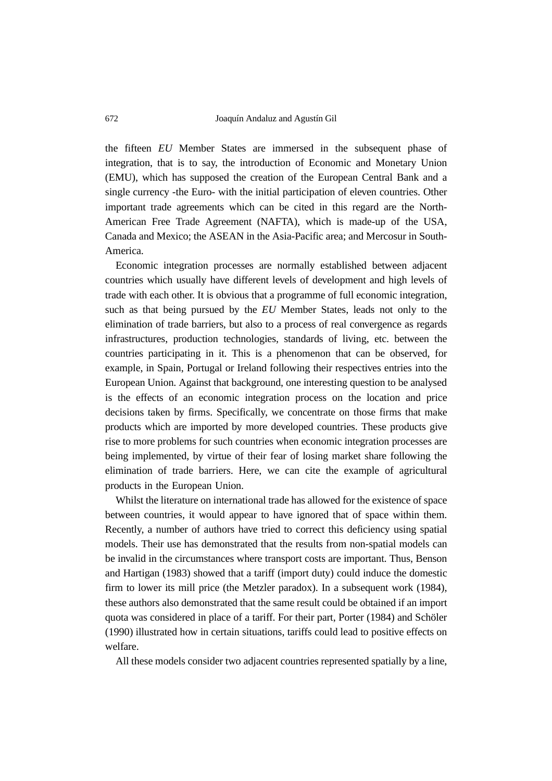the fifteen *EU* Member States are immersed in the subsequent phase of integration, that is to say, the introduction of Economic and Monetary Union (EMU), which has supposed the creation of the European Central Bank and a single currency -the Euro- with the initial participation of eleven countries. Other important trade agreements which can be cited in this regard are the North-American Free Trade Agreement (NAFTA), which is made-up of the USA, Canada and Mexico; the ASEAN in the Asia-Pacific area; and Mercosur in South-America.

Economic integration processes are normally established between adjacent countries which usually have different levels of development and high levels of trade with each other. It is obvious that a programme of full economic integration, such as that being pursued by the *EU* Member States, leads not only to the elimination of trade barriers, but also to a process of real convergence as regards infrastructures, production technologies, standards of living, etc. between the countries participating in it. This is a phenomenon that can be observed, for example, in Spain, Portugal or Ireland following their respectives entries into the European Union. Against that background, one interesting question to be analysed is the effects of an economic integration process on the location and price decisions taken by firms. Specifically, we concentrate on those firms that make products which are imported by more developed countries. These products give rise to more problems for such countries when economic integration processes are being implemented, by virtue of their fear of losing market share following the elimination of trade barriers. Here, we can cite the example of agricultural products in the European Union.

Whilst the literature on international trade has allowed for the existence of space between countries, it would appear to have ignored that of space within them. Recently, a number of authors have tried to correct this deficiency using spatial models. Their use has demonstrated that the results from non-spatial models can be invalid in the circumstances where transport costs are important. Thus, Benson and Hartigan (1983) showed that a tariff (import duty) could induce the domestic firm to lower its mill price (the Metzler paradox). In a subsequent work (1984), these authors also demonstrated that the same result could be obtained if an import quota was considered in place of a tariff. For their part, Porter (1984) and Schöler (1990) illustrated how in certain situations, tariffs could lead to positive effects on welfare.

All these models consider two adjacent countries represented spatially by a line,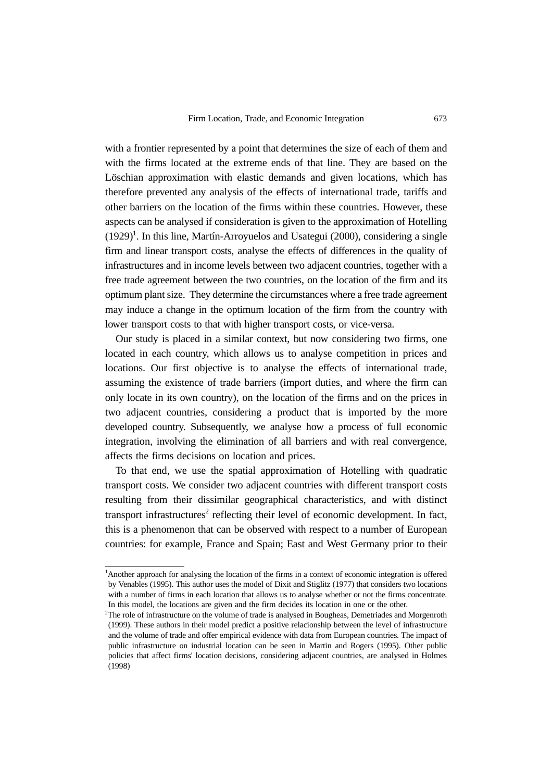with a frontier represented by a point that determines the size of each of them and with the firms located at the extreme ends of that line. They are based on the Löschian approximation with elastic demands and given locations, which has therefore prevented any analysis of the effects of international trade, tariffs and other barriers on the location of the firms within these countries. However, these aspects can be analysed if consideration is given to the approximation of Hotelling  $(1929)^1$ . In this line, Martín-Arroyuelos and Usategui (2000), considering a single firm and linear transport costs, analyse the effects of differences in the quality of infrastructures and in income levels between two adjacent countries, together with a free trade agreement between the two countries, on the location of the firm and its optimum plant size. They determine the circumstances where a free trade agreement may induce a change in the optimum location of the firm from the country with lower transport costs to that with higher transport costs, or vice-versa.

Our study is placed in a similar context, but now considering two firms, one located in each country, which allows us to analyse competition in prices and locations. Our first objective is to analyse the effects of international trade, assuming the existence of trade barriers (import duties, and where the firm can only locate in its own country), on the location of the firms and on the prices in two adjacent countries, considering a product that is imported by the more developed country. Subsequently, we analyse how a process of full economic integration, involving the elimination of all barriers and with real convergence, affects the firms decisions on location and prices.

To that end, we use the spatial approximation of Hotelling with quadratic transport costs. We consider two adjacent countries with different transport costs resulting from their dissimilar geographical characteristics, and with distinct transport infrastructures<sup>2</sup> reflecting their level of economic development. In fact, this is a phenomenon that can be observed with respect to a number of European countries: for example, France and Spain; East and West Germany prior to their

<sup>1</sup> Another approach for analysing the location of the firms in a context of economic integration is offered by Venables (1995). This author uses the model of Dixit and Stiglitz (1977) that considers two locations with a number of firms in each location that allows us to analyse whether or not the firms concentrate. In this model, the locations are given and the firm decides its location in one or the other.

<sup>&</sup>lt;sup>2</sup>The role of infrastructure on the volume of trade is analysed in Bougheas, Demetriades and Morgenroth (1999). These authors in their model predict a positive relacionship between the level of infrastructure and the volume of trade and offer empirical evidence with data from European countries. The impact of public infrastructure on industrial location can be seen in Martin and Rogers (1995). Other public policies that affect firms' location decisions, considering adjacent countries, are analysed in Holmes (1998)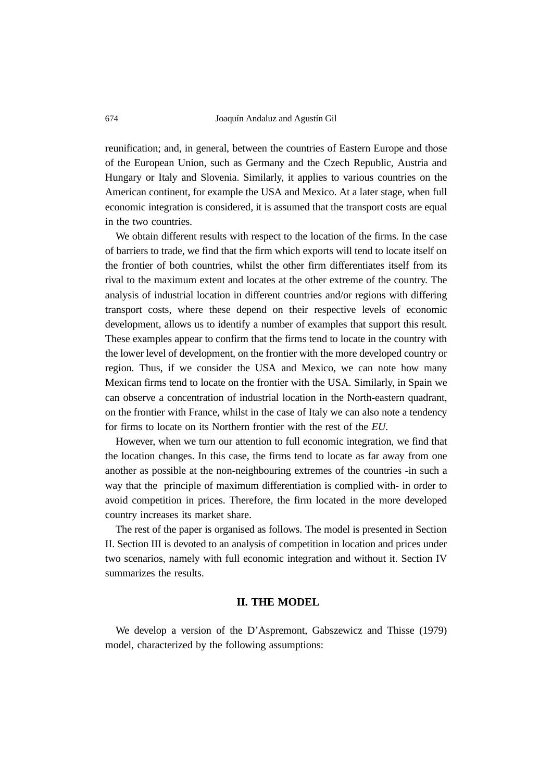reunification; and, in general, between the countries of Eastern Europe and those of the European Union, such as Germany and the Czech Republic, Austria and Hungary or Italy and Slovenia. Similarly, it applies to various countries on the American continent, for example the USA and Mexico. At a later stage, when full economic integration is considered, it is assumed that the transport costs are equal in the two countries.

We obtain different results with respect to the location of the firms. In the case of barriers to trade, we find that the firm which exports will tend to locate itself on the frontier of both countries, whilst the other firm differentiates itself from its rival to the maximum extent and locates at the other extreme of the country. The analysis of industrial location in different countries and/or regions with differing transport costs, where these depend on their respective levels of economic development, allows us to identify a number of examples that support this result. These examples appear to confirm that the firms tend to locate in the country with the lower level of development, on the frontier with the more developed country or region. Thus, if we consider the USA and Mexico, we can note how many Mexican firms tend to locate on the frontier with the USA. Similarly, in Spain we can observe a concentration of industrial location in the North-eastern quadrant, on the frontier with France, whilst in the case of Italy we can also note a tendency for firms to locate on its Northern frontier with the rest of the *EU*.

However, when we turn our attention to full economic integration, we find that the location changes. In this case, the firms tend to locate as far away from one another as possible at the non-neighbouring extremes of the countries -in such a way that the principle of maximum differentiation is complied with- in order to avoid competition in prices. Therefore, the firm located in the more developed country increases its market share.

The rest of the paper is organised as follows. The model is presented in Section II. Section III is devoted to an analysis of competition in location and prices under two scenarios, namely with full economic integration and without it. Section IV summarizes the results.

## **II. THE MODEL**

We develop a version of the D'Aspremont, Gabszewicz and Thisse (1979) model, characterized by the following assumptions: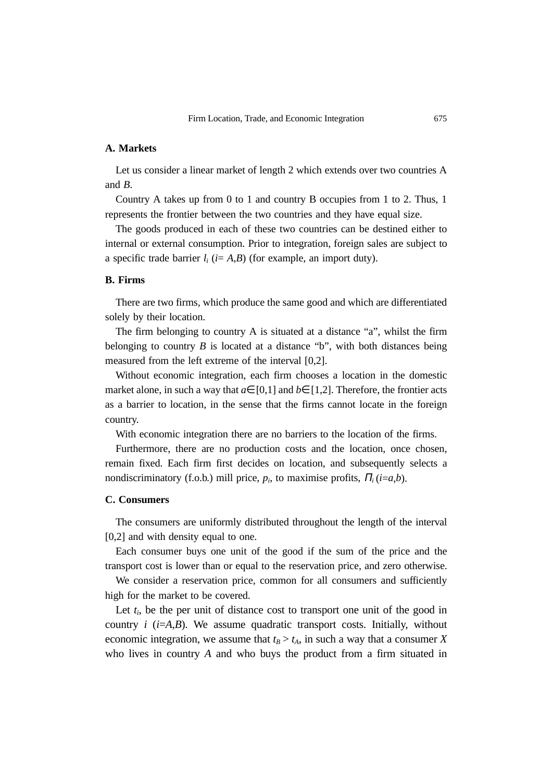### **A. Markets**

Let us consider a linear market of length 2 which extends over two countries A and *B*.

Country A takes up from 0 to 1 and country B occupies from 1 to 2. Thus, 1 represents the frontier between the two countries and they have equal size.

The goods produced in each of these two countries can be destined either to internal or external consumption. Prior to integration, foreign sales are subject to a specific trade barrier  $l_i$  ( $i = A,B$ ) (for example, an import duty).

## **B. Firms**

There are two firms, which produce the same good and which are differentiated solely by their location.

The firm belonging to country A is situated at a distance "a", whilst the firm belonging to country  $B$  is located at a distance "b", with both distances being measured from the left extreme of the interval [0,2].

Without economic integration, each firm chooses a location in the domestic market alone, in such a way that  $a \in [0,1]$  and  $b \in [1,2]$ . Therefore, the frontier acts as a barrier to location, in the sense that the firms cannot locate in the foreign country.

With economic integration there are no barriers to the location of the firms.

Furthermore, there are no production costs and the location, once chosen, remain fixed. Each firm first decides on location, and subsequently selects a nondiscriminatory (f.o.b.) mill price,  $p_i$ , to maximise profits,  $\Pi_i$  (*i*=*a*,*b*).

#### **C. Consumers**

The consumers are uniformly distributed throughout the length of the interval [0,2] and with density equal to one.

Each consumer buys one unit of the good if the sum of the price and the transport cost is lower than or equal to the reservation price, and zero otherwise.

We consider a reservation price, common for all consumers and sufficiently high for the market to be covered.

Let  $t_i$ , be the per unit of distance cost to transport one unit of the good in country  $i$  ( $i = A, B$ ). We assume quadratic transport costs. Initially, without economic integration, we assume that  $t_B > t_A$ , in such a way that a consumer *X* who lives in country *A* and who buys the product from a firm situated in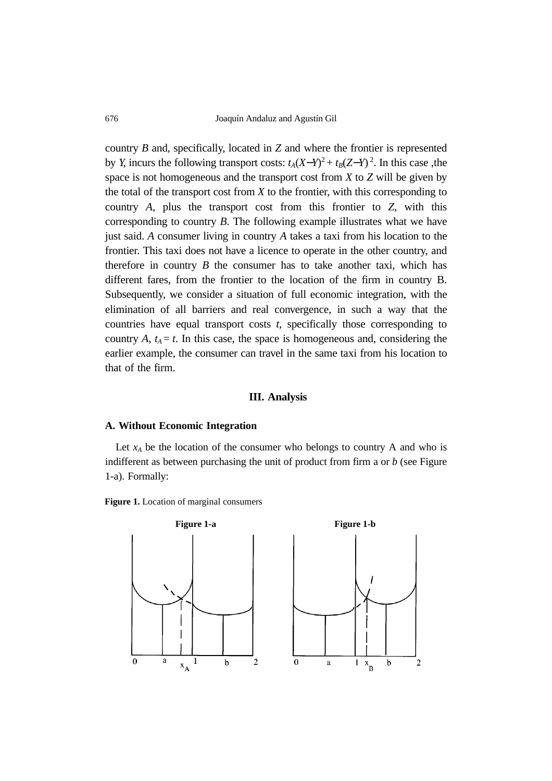country *B* and, specifically, located in *Z* and where the frontier is represented by *Y*, incurs the following transport costs:  $t_A(X-Y)^2 + t_B(Z-Y)^2$ . In this case, the space is not homogeneous and the transport cost from *X* to *Z* will be given by the total of the transport cost from  $X$  to the frontier, with this corresponding to country *A*, plus the transport cost from this frontier to *Z*, with this corresponding to country *B*. The following example illustrates what we have just said. *A* consumer living in country *A* takes a taxi from his location to the frontier. This taxi does not have a licence to operate in the other country, and therefore in country  $B$  the consumer has to take another taxi, which has different fares, from the frontier to the location of the firm in country B. Subsequently, we consider a situation of full economic integration, with the elimination of all barriers and real convergence, in such a way that the countries have equal transport costs *t*, specifically those corresponding to country  $A$ ,  $t_A = t$ . In this case, the space is homogeneous and, considering the earlier example, the consumer can travel in the same taxi from his location to that of the firm.

## **III. Analysis**

### **A. Without Economic Integration**

Let  $x_A$  be the location of the consumer who belongs to country A and who is indifferent as between purchasing the unit of product from firm a or *b* (see Figure 1-a). Formally:

**Figure 1.** Location of marginal consumers

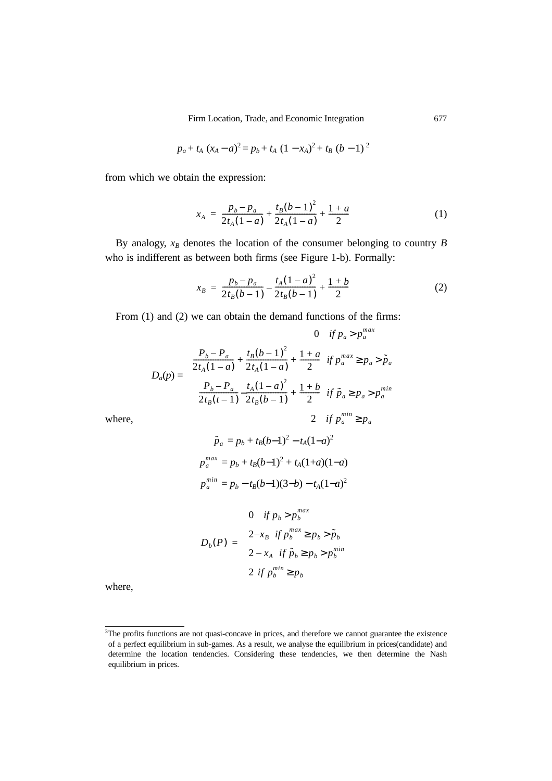Firm Location, Trade, and Economic Integration 677

$$
p_a + t_A (x_A - a)^2 = p_b + t_A (1 - x_A)^2 + t_B (b - 1)^2
$$

from which we obtain the expression:

$$
x_A = \frac{p_b - p_a}{2t_A(1 - a)} + \frac{t_B(b - 1)^2}{2t_A(1 - a)} + \frac{1 + a}{2} \tag{1}
$$

By analogy,  $x_B$  denotes the location of the consumer belonging to country  $B$ who is indifferent as between both firms (see Figure 1-b). Formally:

$$
x_B = \frac{p_b - p_a}{2t_B(b-1)} - \frac{t_A(1-a)^2}{2t_B(b-1)} + \frac{1+b}{2}
$$
 (2)

From (1) and (2) we can obtain the demand functions of the firms:

$$
D_a(p) = \begin{cases} 0 & \text{if } p_a > p_a^{max} \\ \frac{P_b - P_a}{2t_A(1-a)} + \frac{t_B(b-1)^2}{2t_A(1-a)} + \frac{1+a}{2} & \text{if } p_a^{max} \ge p_a > \tilde{p}_a \\ \frac{P_b - P_a}{2t_B(t-1)} - \frac{t_A(1-a)^2}{2t_B(b-1)} + \frac{1+b}{2} & \text{if } \tilde{p}_a \ge p_a > p_a^{min} \\ 2 & \text{if } p_a^{min} \ge p_a \end{cases}
$$

where,

$$
\tilde{p}_a = p_b + t_B(b-1)^2 - t_A(1-a)^2
$$
  
\n
$$
p_a^{max} = p_b + t_B(b-1)^2 + t_A(1+a)(1-a)
$$
  
\n
$$
p_a^{min} = p_b - t_B(b-1)(3-b) - t_A(1-a)^2
$$

$$
D_b(P) = \begin{cases} 0 & \text{if } p_b > p_b^{max} \\ 2 - x_B & \text{if } p_b^{max} \ge p_b > \tilde{p}_b \\ 2 - x_A & \text{if } \tilde{p}_b \ge p_b > p_b^{min} \\ 2 & \text{if } p_b^{min} \ge p_b \end{cases}
$$

where,

<sup>&</sup>lt;sup>3</sup>The profits functions are not quasi-concave in prices, and therefore we cannot guarantee the existence of a perfect equilibrium in sub-games. As a result, we analyse the equilibrium in prices(candidate) and determine the location tendencies. Considering these tendencies, we then determine the Nash equilibrium in prices.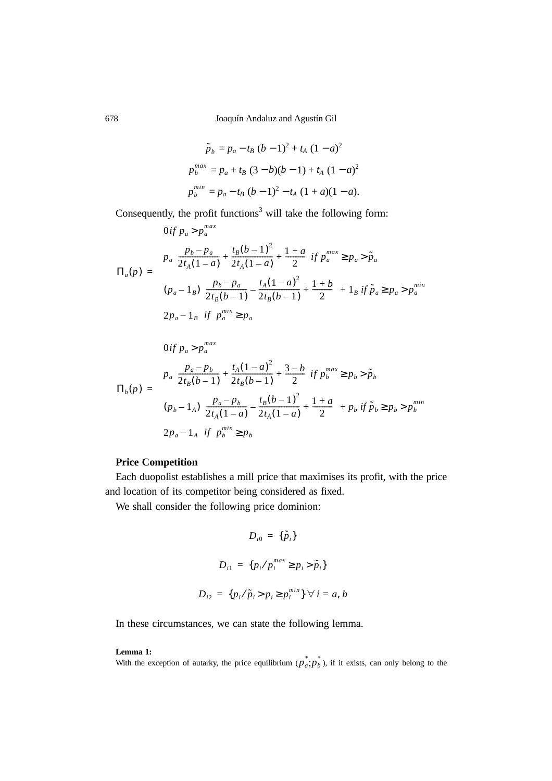$$
\tilde{p}_b = p_a - t_B (b-1)^2 + t_A (1-a)^2
$$
  
\n
$$
p_b^{max} = p_a + t_B (3-b)(b-1) + t_A (1-a)^2
$$
  
\n
$$
p_b^{min} = p_a - t_B (b-1)^2 - t_A (1+a)(1-a).
$$

Consequently, the profit functions<sup>3</sup> will take the following form:

$$
\Pi_a(p) = \begin{cases}\n0if \ p_a > p_a^{max} \\
P_a \left( \frac{p_b - p_a}{2t_A(1 - a)} + \frac{t_B(b - 1)^2}{2t_A(1 - a)} + \frac{1 + a}{2} \right) & \text{if } p_a^{max} \ge p_a > \tilde{p}_a \\
(p_a - 1_B) \left( \frac{p_b - p_a}{2t_B(b - 1)} - \frac{t_A(1 - a)^2}{2t_B(b - 1)} + \frac{1 + b}{2} \right) + 1_B & \text{if } \tilde{p}_a \ge p_a > p_a^{min} \\
2p_a - 1_B & \text{if } p_a^{min} \ge p_a\n\end{cases}
$$

$$
\Pi_b(p) = \begin{cases}\n0 & \text{if } p_a > p_a^{max} \\
P_a \left( \frac{p_a - p_b}{2t_B(b-1)} + \frac{t_A(1-a)^2}{2t_B(b-1)} + \frac{3-b}{2} \right) & \text{if } p_b^{max} \ge p_b > \tilde{p}_b \\
(p_b - 1_A) \left( \frac{p_a - p_b}{2t_A(1-a)} - \frac{t_B(b-1)^2}{2t_A(1-a)} + \frac{1+a}{2} \right) + p_b & \text{if } \tilde{p}_b \ge p_b > p_b^{min} \\
2p_a - 1_A & \text{if } p_b^{min} \ge p_b\n\end{cases}
$$

## **Price Competition**

Each duopolist establishes a mill price that maximises its profit, with the price and location of its competitor being considered as fixed.

We shall consider the following price dominion:

$$
D_{i0} = \{\tilde{p}_i\}
$$
  

$$
D_{i1} = \{p_i/p_i^{max} \ge p_i > \tilde{p}_i\}
$$
  

$$
D_{i2} = \{p_i/\tilde{p}_i > p_i \ge p_i^{min}\} \forall i = a, b
$$

In these circumstances, we can state the following lemma.

### **Lemma 1:**

With the exception of autarky, the price equilibrium  $(p_a^*; p_b^*)$ , if it exists, can only belong to the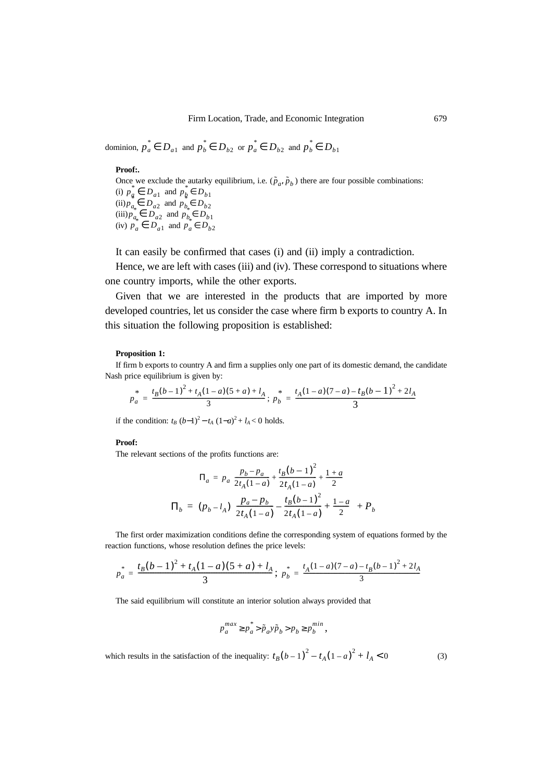dominion,  $p_a^* \in D_{a1}$  and  $p_b^* \in D_{b2}$  or  $p_a^* \in D_{b2}$  and  $p_b^* \in D_{b1}$ 

#### **Proof:.**

Once we exclude the autarky equilibrium, i.e.  $(\tilde{p}_a, \tilde{p}_b)$  there are four possible combinations: (i)  $p_q^* \in D_{a1}$  and  $p_q^* \in D_{b1}$  $(ii) p_a \in D_{a2}$  and  $(iii) p_a \in D_{a2}$  and (iv)  $p_a \in D_{a1}$  and  $p_{a_*}^* \in D_{a_2}^*$  and  $p_{b_*}^* \in D_{b_2}^*$  $p_{a_*}^* \in D_{a_2}$  and  $p_{b_*}^* \in D_{b_1}$  $p_a^* \in D_{a1}$  and  $p_a^* \in D_{b2}$ 

It can easily be confirmed that cases (i) and (ii) imply a contradiction.

Hence, we are left with cases (iii) and (iv). These correspond to situations where one country imports, while the other exports.

Given that we are interested in the products that are imported by more developed countries, let us consider the case where firm b exports to country A. In this situation the following proposition is established:

#### **Proposition 1:**

If firm b exports to country A and firm a supplies only one part of its domestic demand, the candidate Nash price equilibrium is given by:

$$
p_a^* = \frac{t_B(b-1)^2 + t_A(1-a)(5+a) + l_A}{3}; p_b^* = \frac{t_A(1-a)(7-a) - t_B(b-1)^2 + 2l_A}{3}
$$

if the condition:  $t_B (b-1)^2 - t_A (1-a)^2 + l_A < 0$  holds.

### **Proof:**

The relevant sections of the profits functions are:

$$
\Pi_a = p_a \left( \frac{p_b - p_a}{2t_A(1-a)} + \frac{t_B(b-1)^2}{2t_A(1-a)} + \frac{1+a}{2} \right)
$$
\n
$$
\Pi_b = (p_b - l_A) \left( \frac{p_a - p_b}{2t_A(1-a)} - \frac{t_B(b-1)^2}{2t_A(1-a)} + \frac{1-a}{2} \right) + P_b
$$

The first order maximization conditions define the corresponding system of equations formed by the reaction functions, whose resolution defines the price levels:

$$
p_a^* = \frac{t_B(b-1)^2 + t_A(1-a)(5+a) + l_A}{3}; \ p_b^* = \frac{t_A(1-a)(7-a) - t_B(b-1)^2 + 2l_A}{3}
$$

The said equilibrium will constitute an interior solution always provided that

$$
p_a^{max} \ge p_a^* > \tilde{p}_a y \tilde{p}_b > p_b \ge p_b^{min},
$$

which results in the satisfaction of the inequality:  $t_B(b-1)^2 - t_A(1-a)^2 + l_A < 0$  (3)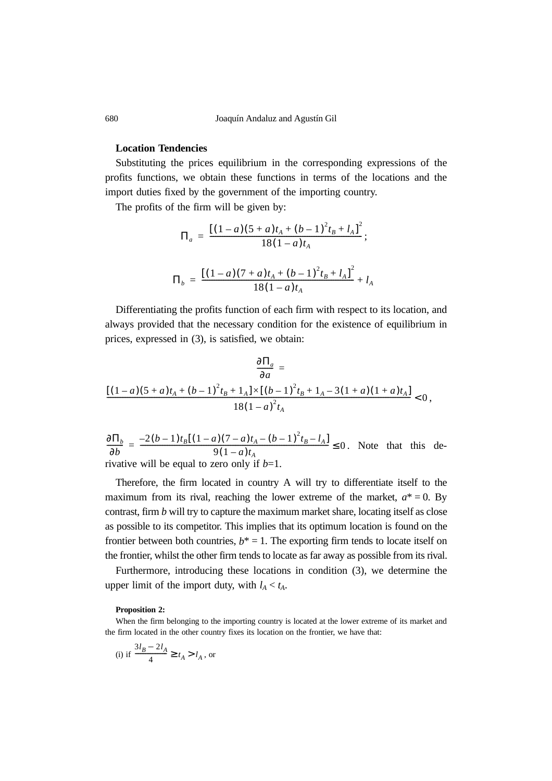### **Location Tendencies**

Substituting the prices equilibrium in the corresponding expressions of the profits functions, we obtain these functions in terms of the locations and the import duties fixed by the government of the importing country.

The profits of the firm will be given by:

$$
\Pi_a = \frac{\left[ (1-a)(5+a)t_A + (b-1)^2 t_B + l_A \right]^2}{18(1-a)t_A};
$$
\n
$$
\Pi_b = \frac{\left[ (1-a)(7+a)t_A + (b-1)^2 t_B + l_A \right]^2}{18(1-a)t_A} + l_A
$$

Differentiating the profits function of each firm with respect to its location, and always provided that the necessary condition for the existence of equilibrium in prices, expressed in (3), is satisfied, we obtain:

$$
\frac{\partial \Pi_a}{\partial a} = \frac{[(1-a)(5+a)t_A + (b-1)^2 t_B + 1_A] \times [(b-1)^2 t_B + 1_A - 3(1+a)(1+a)t_A]}{18(1-a)^2 t_A} < 0,
$$

 $\frac{\partial \Pi_b}{\partial b} = \frac{-2(b-1)t_b[(1-a)(7-a)t_A - (b-1)^2t_b - l_A]}{9(1-a)t_A} \le 0$ . Note that this derivative will be equal to zero only if *b*=1.  $= \frac{2(e^{i\theta}+i\pi)(i-\alpha)(i-\alpha)\pi_A - (e^{i\theta}+i\pi)\pi_B - (e^{i\theta}+i\pi)}{9(1-a)t_A} \leq 0$ 

Therefore, the firm located in country A will try to differentiate itself to the maximum from its rival, reaching the lower extreme of the market,  $a^* = 0$ . By contrast, firm *b* will try to capture the maximum market share, locating itself as close as possible to its competitor. This implies that its optimum location is found on the frontier between both countries,  $b^* = 1$ . The exporting firm tends to locate itself on the frontier, whilst the other firm tends to locate as far away as possible from its rival.

Furthermore, introducing these locations in condition (3), we determine the upper limit of the import duty, with  $l_A < t_A$ .

#### **Proposition 2:**

When the firm belonging to the importing country is located at the lower extreme of its market and the firm located in the other country fixes its location on the frontier, we have that:

(i) if 
$$
\frac{3l_B - 2l_A}{4} \ge t_A > l_A
$$
, or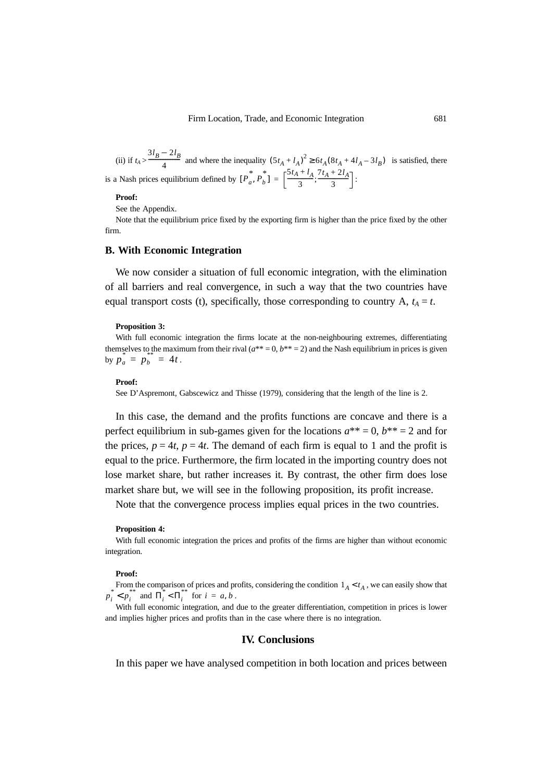(ii) if  $t_A > \frac{3l_B - 2l_B}{4}$  and where the inequality  $(5t_A + l_A)^2 \ge 6t_A(8t_A + 4l_A - 3l_B)$  is satisfied, there is a Nash prices equilibrium defined by  $[P_a^*, P_b^*] = \left[\frac{5t_A + l_A}{3}; \frac{7t_A + 2l_A}{3}\right]$ :

## **Proof:**

See the Appendix.

Note that the equilibrium price fixed by the exporting firm is higher than the price fixed by the other firm.

## **B. With Economic Integration**

We now consider a situation of full economic integration, with the elimination of all barriers and real convergence, in such a way that the two countries have equal transport costs (t), specifically, those corresponding to country A,  $t_A = t$ .

#### **Proposition 3:**

With full economic integration the firms locate at the non-neighbouring extremes, differentiating themselves to the maximum from their rival  $(a^{**} = 0, b^{**} = 2)$  and the Nash equilibrium in prices is given by  $p_a^* = p_b^{**} = 4t$ .

#### **Proof:**

See D'Aspremont, Gabscewicz and Thisse (1979), considering that the length of the line is 2.

In this case, the demand and the profits functions are concave and there is a perfect equilibrium in sub-games given for the locations  $a^{**} = 0$ ,  $b^{**} = 2$  and for the prices,  $p = 4t$ ,  $p = 4t$ . The demand of each firm is equal to 1 and the profit is equal to the price. Furthermore, the firm located in the importing country does not lose market share, but rather increases it. By contrast, the other firm does lose market share but, we will see in the following proposition, its profit increase.

Note that the convergence process implies equal prices in the two countries.

#### **Proposition 4:**

With full economic integration the prices and profits of the firms are higher than without economic integration.

#### **Proof:**

From the comparison of prices and profits, considering the condition  $1_A < t_A$ , we can easily show that  $p_i^* < p_i^{**}$  and  $\prod_i^* < \prod_i^{**}$  for  $i = a, b$ .

With full economic integration, and due to the greater differentiation, competition in prices is lower and implies higher prices and profits than in the case where there is no integration.

#### **IV. Conclusions**

In this paper we have analysed competition in both location and prices between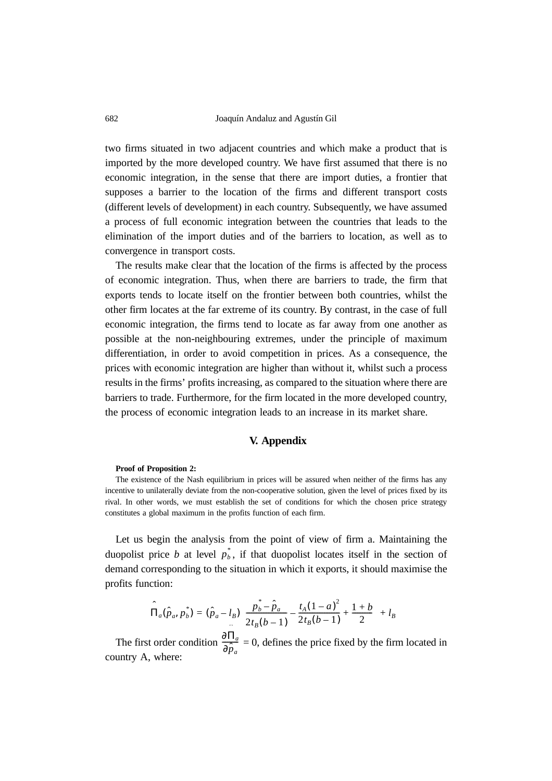two firms situated in two adjacent countries and which make a product that is imported by the more developed country. We have first assumed that there is no economic integration, in the sense that there are import duties, a frontier that supposes a barrier to the location of the firms and different transport costs (different levels of development) in each country. Subsequently, we have assumed a process of full economic integration between the countries that leads to the elimination of the import duties and of the barriers to location, as well as to convergence in transport costs.

The results make clear that the location of the firms is affected by the process of economic integration. Thus, when there are barriers to trade, the firm that exports tends to locate itself on the frontier between both countries, whilst the other firm locates at the far extreme of its country. By contrast, in the case of full economic integration, the firms tend to locate as far away from one another as possible at the non-neighbouring extremes, under the principle of maximum differentiation, in order to avoid competition in prices. As a consequence, the prices with economic integration are higher than without it, whilst such a process results in the firms' profits increasing, as compared to the situation where there are barriers to trade. Furthermore, for the firm located in the more developed country, the process of economic integration leads to an increase in its market share.

### **V. Appendix**

#### **Proof of Proposition 2:**

The existence of the Nash equilibrium in prices will be assured when neither of the firms has any incentive to unilaterally deviate from the non-cooperative solution, given the level of prices fixed by its rival. In other words, we must establish the set of conditions for which the chosen price strategy constitutes a global maximum in the profits function of each firm.

Let us begin the analysis from the point of view of firm a. Maintaining the duopolist price *b* at level  $p_b^*$ , if that duopolist locates itself in the section of demand corresponding to the situation in which it exports, it should maximise the profits function:

$$
\hat{\Pi}_a(\hat{p}_a, p_b^*) = (\hat{p}_a - l_B) \left( \frac{p_b^* - \hat{p}_a}{2t_B(b-1)} - \frac{t_A(1-a)^2}{2t_B(b-1)} + \frac{1+b}{2} \right) + l_B
$$

The first order condition  $\frac{\partial \Pi_a}{\partial \hat{p}_a} = 0$ , defines the price fixed by the firm located in country A, where: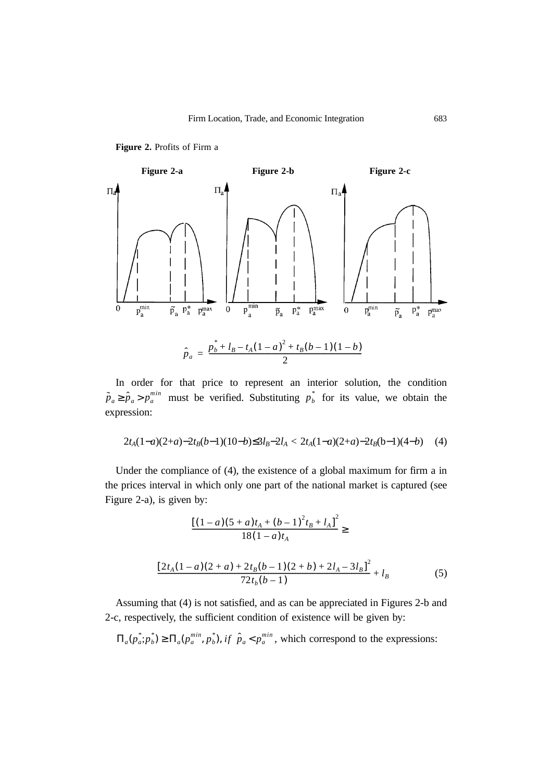

**Figure 2.** Profits of Firm a

In order for that price to represent an interior solution, the condition  $\tilde{p}_a \ge \hat{p}_a > p_a^{min}$  must be verified. Substituting  $p_b^*$  for its value, we obtain the expression:

$$
2t_A(1-a)(2+a)-2t_B(b-1)(10-b)\leq 3l_B-2l_A < 2t_A(1-a)(2+a)-2t_B(b-1)(4-b) \tag{4}
$$

Under the compliance of (4), the existence of a global maximum for firm a in the prices interval in which only one part of the national market is captured (see Figure 2-a), is given by:

$$
\frac{\left[ (1-a)(5+a)t_A + (b-1)^2 t_B + l_A \right]^2}{18(1-a)t_A} \ge
$$
\n
$$
\frac{\left[ 2t_A(1-a)(2+a) + 2t_B(b-1)(2+b) + 2l_A - 3l_B \right]^2}{72t_b(b-1)} + l_B
$$
\n(5)

Assuming that (4) is not satisfied, and as can be appreciated in Figures 2-b and 2-c, respectively, the sufficient condition of existence will be given by:

 $\Pi_a(p_a^*, p_b^*) \ge \Pi_a(p_a^{min}, p_b^*)$ , if  $\hat{p}_a < p_a^{min}$ , which correspond to the expressions: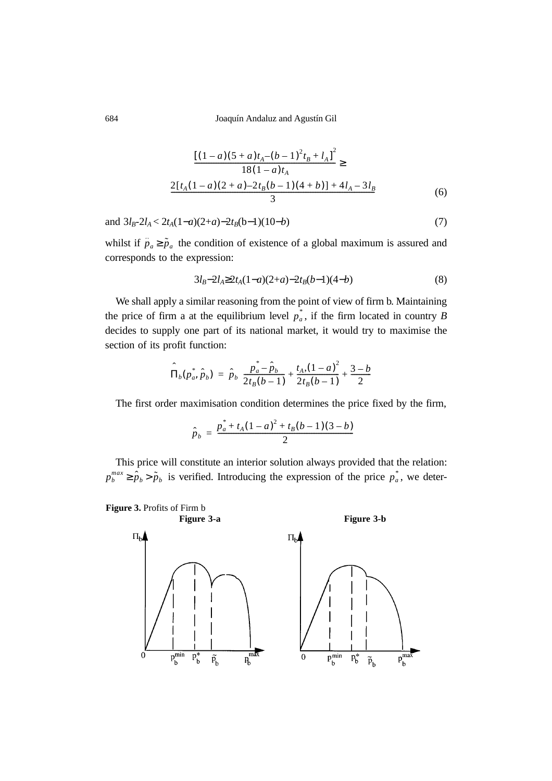$$
\frac{\left[ (1-a)(5+a)t_A - (b-1)^2 t_B + l_A \right]^2}{18(1-a)t_A} \ge \frac{2[t_A(1-a)(2+a)-2t_B(b-1)(4+b)] + 4l_A - 3l_B}{3}
$$
(6)

and  $3l_B - 2l_A < 2t_A(1-a)(2+a) - 2t_B(b-1)(10-b)$  (7)

whilst if  $\hat{p}_a \geq \tilde{p}_a$  the condition of existence of a global maximum is assured and corresponds to the expression:

$$
3l_B - 2l_A \ge 2t_A(1-a)(2+a) - 2t_B(b-1)(4-b) \tag{8}
$$

We shall apply a similar reasoning from the point of view of firm b. Maintaining the price of firm a at the equilibrium level  $p_a^*$ , if the firm located in country *B* decides to supply one part of its national market, it would try to maximise the section of its profit function:

$$
\hat{\Pi}_{b}(p_{a}^{*}, \hat{p}_{b}) = \hat{p}_{b}\left(\frac{p_{a}^{*} - \hat{p}_{b}}{2t_{B}(b-1)} + \frac{t_{A}(1-a)^{2}}{2t_{B}(b-1)} + \frac{3-b}{2}\right)
$$

The first order maximisation condition determines the price fixed by the firm,

$$
\hat{p}_b = \frac{p_a^* + t_A(1-a)^2 + t_B(b-1)(3-b)}{2}
$$

This price will constitute an interior solution always provided that the relation:  $p_b^{max} \ge \hat{p}_b > \tilde{p}_b$  is verified. Introducing the expression of the price  $p_a^*$ , we deter-

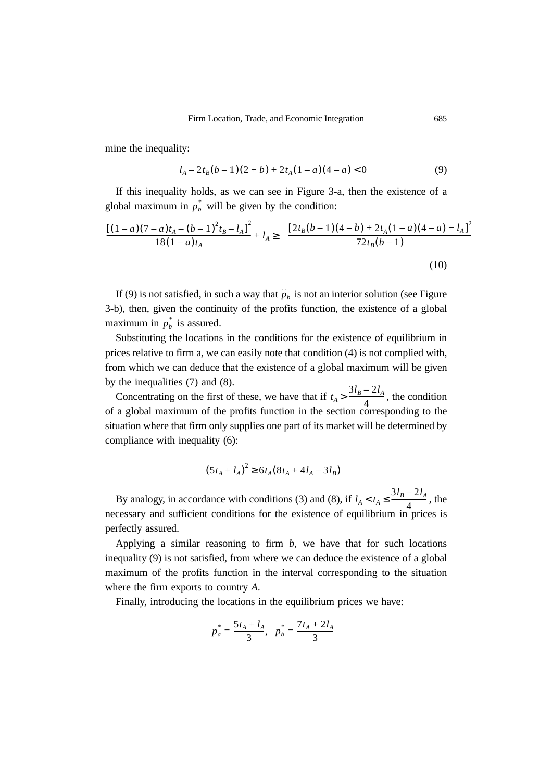mine the inequality:

$$
l_A - 2t_B(b-1)(2+b) + 2t_A(1-a)(4-a) < 0 \tag{9}
$$

If this inequality holds, as we can see in Figure 3-a, then the existence of a global maximum in  $p_b^*$  will be given by the condition:

$$
\frac{\left[(1-a)(7-a)t_A - (b-1)^2 t_B - l_A\right]^2}{18(1-a)t_A} + l_A \geq \frac{\left[2t_B(b-1)(4-b) + 2t_A(1-a)(4-a) + l_A\right]^2}{72t_B(b-1)}
$$
\n(10)

If (9) is not satisfied, in such a way that  $\hat{p}_b$  is not an interior solution (see Figure 3-b), then, given the continuity of the profits function, the existence of a global maximum in  $p_b^*$  is assured.

Substituting the locations in the conditions for the existence of equilibrium in prices relative to firm a, we can easily note that condition (4) is not complied with, from which we can deduce that the existence of a global maximum will be given by the inequalities (7) and (8).

Concentrating on the first of these, we have that if  $t_A > \frac{3l_B - 2l_A}{4}$ , the condition of a global maximum of the profits function in the section corresponding to the situation where that firm only supplies one part of its market will be determined by compliance with inequality (6):

$$
(5t_A + l_A)^2 \ge 6t_A(8t_A + 4l_A - 3l_B)
$$

By analogy, in accordance with conditions (3) and (8), if  $l_A < t_A \leq \frac{3l_B - 2l_A}{4}$ , the necessary and sufficient conditions for the existence of equilibrium in prices is perfectly assured.

Applying a similar reasoning to firm *b*, we have that for such locations inequality (9) is not satisfied, from where we can deduce the existence of a global maximum of the profits function in the interval corresponding to the situation where the firm exports to country *A*.

Finally, introducing the locations in the equilibrium prices we have:

$$
p_a^* = \frac{5t_A + l_A}{3}, \quad p_b^* = \frac{7t_A + 2l_A}{3}
$$